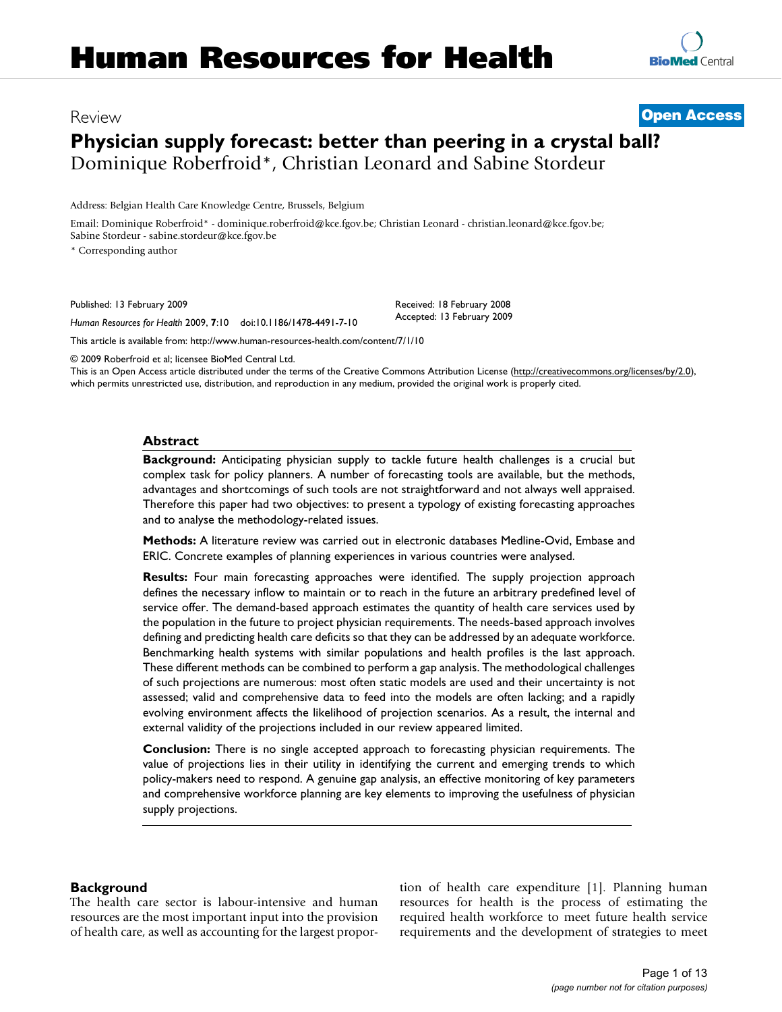# Review **[Open Access](http://www.biomedcentral.com/info/about/charter/)**

# **Physician supply forecast: better than peering in a crystal ball?** Dominique Roberfroid\*, Christian Leonard and Sabine Stordeur

Address: Belgian Health Care Knowledge Centre, Brussels, Belgium

Email: Dominique Roberfroid\* - dominique.roberfroid@kce.fgov.be; Christian Leonard - christian.leonard@kce.fgov.be; Sabine Stordeur - sabine.stordeur@kce.fgov.be

\* Corresponding author

Published: 13 February 2009

*Human Resources for Health* 2009, **7**:10 doi:10.1186/1478-4491-7-10

[This article is available from: http://www.human-resources-health.com/content/7/1/10](http://www.human-resources-health.com/content/7/1/10)

© 2009 Roberfroid et al; licensee BioMed Central Ltd.

This is an Open Access article distributed under the terms of the Creative Commons Attribution License [\(http://creativecommons.org/licenses/by/2.0\)](http://creativecommons.org/licenses/by/2.0), which permits unrestricted use, distribution, and reproduction in any medium, provided the original work is properly cited.

Received: 18 February 2008 Accepted: 13 February 2009

#### **Abstract**

**Background:** Anticipating physician supply to tackle future health challenges is a crucial but complex task for policy planners. A number of forecasting tools are available, but the methods, advantages and shortcomings of such tools are not straightforward and not always well appraised. Therefore this paper had two objectives: to present a typology of existing forecasting approaches and to analyse the methodology-related issues.

**Methods:** A literature review was carried out in electronic databases Medline-Ovid, Embase and ERIC. Concrete examples of planning experiences in various countries were analysed.

**Results:** Four main forecasting approaches were identified. The supply projection approach defines the necessary inflow to maintain or to reach in the future an arbitrary predefined level of service offer. The demand-based approach estimates the quantity of health care services used by the population in the future to project physician requirements. The needs-based approach involves defining and predicting health care deficits so that they can be addressed by an adequate workforce. Benchmarking health systems with similar populations and health profiles is the last approach. These different methods can be combined to perform a gap analysis. The methodological challenges of such projections are numerous: most often static models are used and their uncertainty is not assessed; valid and comprehensive data to feed into the models are often lacking; and a rapidly evolving environment affects the likelihood of projection scenarios. As a result, the internal and external validity of the projections included in our review appeared limited.

**Conclusion:** There is no single accepted approach to forecasting physician requirements. The value of projections lies in their utility in identifying the current and emerging trends to which policy-makers need to respond. A genuine gap analysis, an effective monitoring of key parameters and comprehensive workforce planning are key elements to improving the usefulness of physician supply projections.

# **Background**

The health care sector is labour-intensive and human resources are the most important input into the provision of health care, as well as accounting for the largest proportion of health care expenditure [1]. Planning human resources for health is the process of estimating the required health workforce to meet future health service requirements and the development of strategies to meet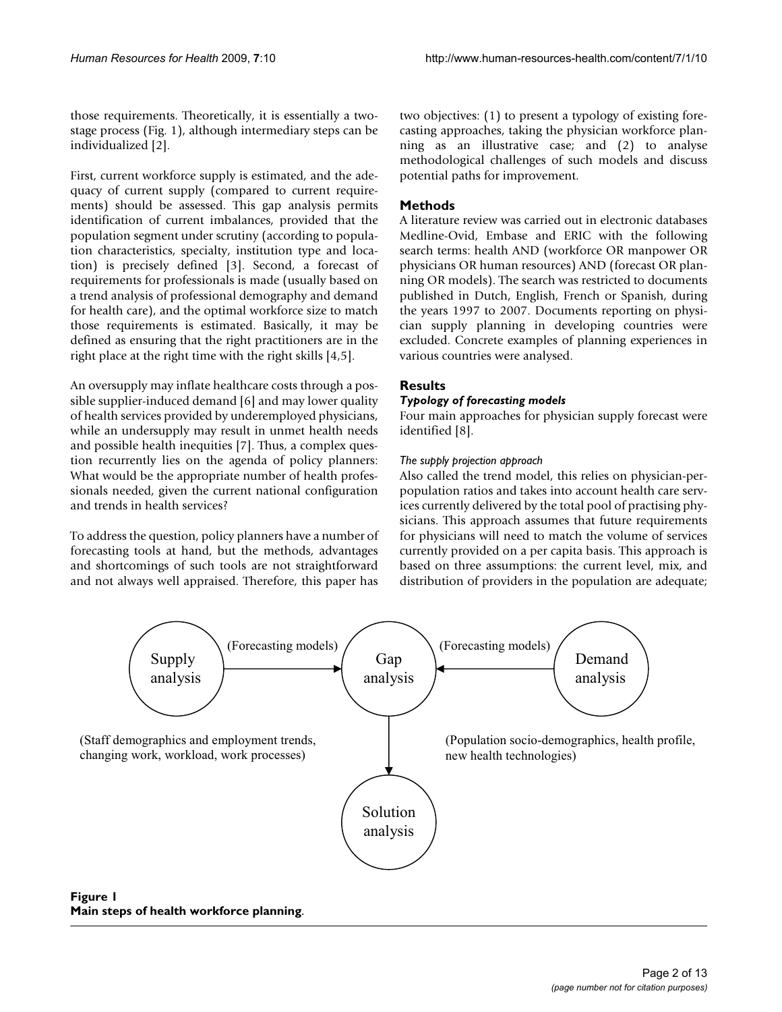those requirements. Theoretically, it is essentially a twostage process (Fig. 1), although intermediary steps can be individualized [2].

First, current workforce supply is estimated, and the adequacy of current supply (compared to current requirements) should be assessed. This gap analysis permits identification of current imbalances, provided that the population segment under scrutiny (according to population characteristics, specialty, institution type and location) is precisely defined [3]. Second, a forecast of requirements for professionals is made (usually based on a trend analysis of professional demography and demand for health care), and the optimal workforce size to match those requirements is estimated. Basically, it may be defined as ensuring that the right practitioners are in the right place at the right time with the right skills [4,5].

An oversupply may inflate healthcare costs through a possible supplier-induced demand [6] and may lower quality of health services provided by underemployed physicians, while an undersupply may result in unmet health needs and possible health inequities [7]. Thus, a complex question recurrently lies on the agenda of policy planners: What would be the appropriate number of health professionals needed, given the current national configuration and trends in health services?

To address the question, policy planners have a number of forecasting tools at hand, but the methods, advantages and shortcomings of such tools are not straightforward and not always well appraised. Therefore, this paper has two objectives: (1) to present a typology of existing forecasting approaches, taking the physician workforce planning as an illustrative case; and (2) to analyse methodological challenges of such models and discuss potential paths for improvement.

# **Methods**

A literature review was carried out in electronic databases Medline-Ovid, Embase and ERIC with the following search terms: health AND (workforce OR manpower OR physicians OR human resources) AND (forecast OR planning OR models). The search was restricted to documents published in Dutch, English, French or Spanish, during the years 1997 to 2007. Documents reporting on physician supply planning in developing countries were excluded. Concrete examples of planning experiences in various countries were analysed.

# **Results**

# *Typology of forecasting models*

Four main approaches for physician supply forecast were identified [8].

# *The supply projection approach*

Also called the trend model, this relies on physician-perpopulation ratios and takes into account health care services currently delivered by the total pool of practising physicians. This approach assumes that future requirements for physicians will need to match the volume of services currently provided on a per capita basis. This approach is based on three assumptions: the current level, mix, and distribution of providers in the population are adequate;



**Main steps of health workforce planning**.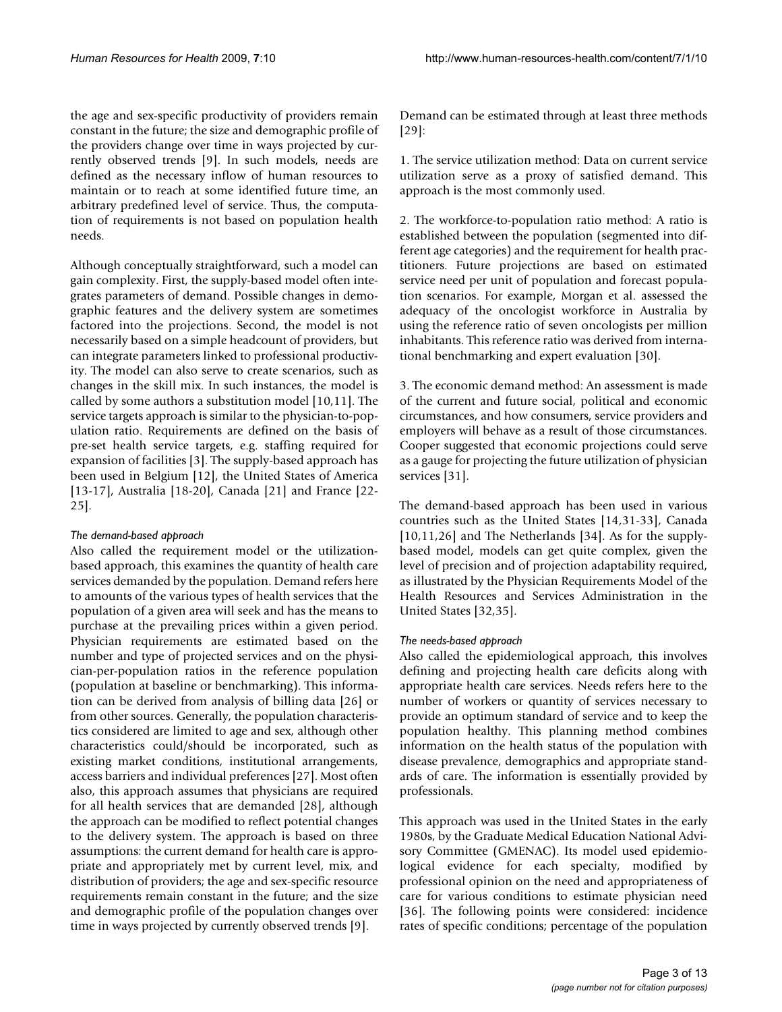the age and sex-specific productivity of providers remain constant in the future; the size and demographic profile of the providers change over time in ways projected by currently observed trends [9]. In such models, needs are defined as the necessary inflow of human resources to maintain or to reach at some identified future time, an arbitrary predefined level of service. Thus, the computation of requirements is not based on population health needs.

Although conceptually straightforward, such a model can gain complexity. First, the supply-based model often integrates parameters of demand. Possible changes in demographic features and the delivery system are sometimes factored into the projections. Second, the model is not necessarily based on a simple headcount of providers, but can integrate parameters linked to professional productivity. The model can also serve to create scenarios, such as changes in the skill mix. In such instances, the model is called by some authors a substitution model [10,11]. The service targets approach is similar to the physician-to-population ratio. Requirements are defined on the basis of pre-set health service targets, e.g. staffing required for expansion of facilities [3]. The supply-based approach has been used in Belgium [12], the United States of America [13-17], Australia [18-20], Canada [21] and France [22- 25].

# *The demand-based approach*

Also called the requirement model or the utilizationbased approach, this examines the quantity of health care services demanded by the population. Demand refers here to amounts of the various types of health services that the population of a given area will seek and has the means to purchase at the prevailing prices within a given period. Physician requirements are estimated based on the number and type of projected services and on the physician-per-population ratios in the reference population (population at baseline or benchmarking). This information can be derived from analysis of billing data [26] or from other sources. Generally, the population characteristics considered are limited to age and sex, although other characteristics could/should be incorporated, such as existing market conditions, institutional arrangements, access barriers and individual preferences [27]. Most often also, this approach assumes that physicians are required for all health services that are demanded [28], although the approach can be modified to reflect potential changes to the delivery system. The approach is based on three assumptions: the current demand for health care is appropriate and appropriately met by current level, mix, and distribution of providers; the age and sex-specific resource requirements remain constant in the future; and the size and demographic profile of the population changes over time in ways projected by currently observed trends [9].

Demand can be estimated through at least three methods [29]:

1. The service utilization method: Data on current service utilization serve as a proxy of satisfied demand. This approach is the most commonly used.

2. The workforce-to-population ratio method: A ratio is established between the population (segmented into different age categories) and the requirement for health practitioners. Future projections are based on estimated service need per unit of population and forecast population scenarios. For example, Morgan et al. assessed the adequacy of the oncologist workforce in Australia by using the reference ratio of seven oncologists per million inhabitants. This reference ratio was derived from international benchmarking and expert evaluation [30].

3. The economic demand method: An assessment is made of the current and future social, political and economic circumstances, and how consumers, service providers and employers will behave as a result of those circumstances. Cooper suggested that economic projections could serve as a gauge for projecting the future utilization of physician services [31].

The demand-based approach has been used in various countries such as the United States [14,31-33], Canada  $[10,11,26]$  and The Netherlands  $[34]$ . As for the supplybased model, models can get quite complex, given the level of precision and of projection adaptability required, as illustrated by the Physician Requirements Model of the Health Resources and Services Administration in the United States [32,35].

# *The needs-based approach*

Also called the epidemiological approach, this involves defining and projecting health care deficits along with appropriate health care services. Needs refers here to the number of workers or quantity of services necessary to provide an optimum standard of service and to keep the population healthy. This planning method combines information on the health status of the population with disease prevalence, demographics and appropriate standards of care. The information is essentially provided by professionals.

This approach was used in the United States in the early 1980s, by the Graduate Medical Education National Advisory Committee (GMENAC). Its model used epidemiological evidence for each specialty, modified by professional opinion on the need and appropriateness of care for various conditions to estimate physician need [36]. The following points were considered: incidence rates of specific conditions; percentage of the population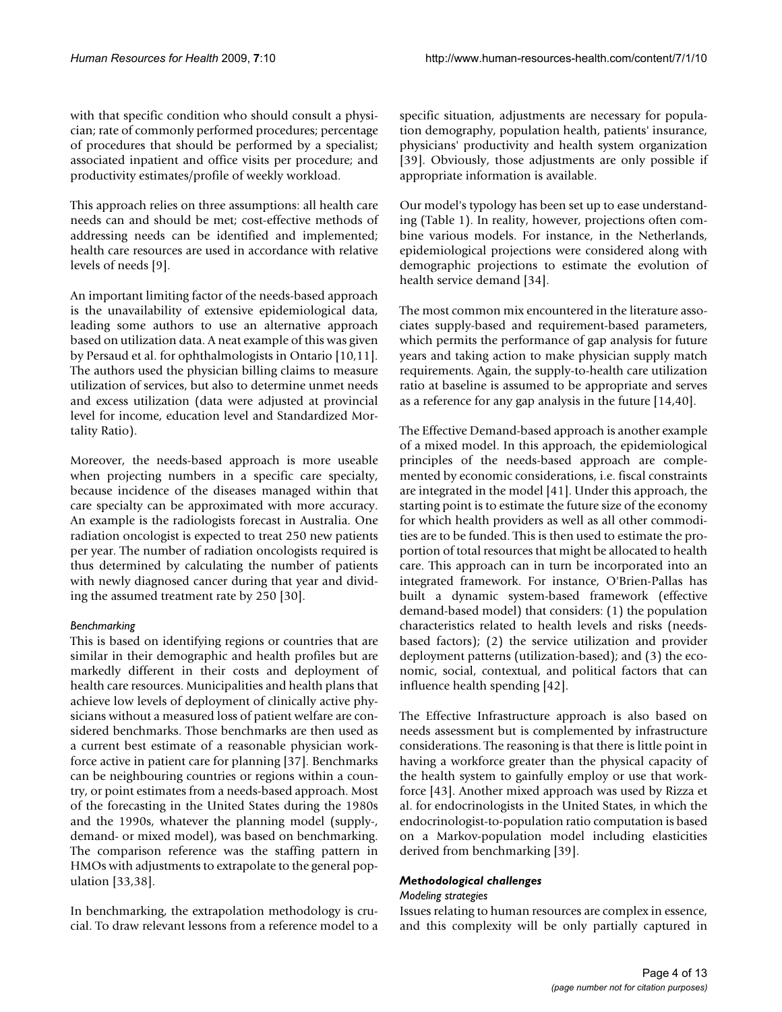with that specific condition who should consult a physician; rate of commonly performed procedures; percentage of procedures that should be performed by a specialist; associated inpatient and office visits per procedure; and productivity estimates/profile of weekly workload.

This approach relies on three assumptions: all health care needs can and should be met; cost-effective methods of addressing needs can be identified and implemented; health care resources are used in accordance with relative levels of needs [9].

An important limiting factor of the needs-based approach is the unavailability of extensive epidemiological data, leading some authors to use an alternative approach based on utilization data. A neat example of this was given by Persaud et al. for ophthalmologists in Ontario [10,11]. The authors used the physician billing claims to measure utilization of services, but also to determine unmet needs and excess utilization (data were adjusted at provincial level for income, education level and Standardized Mortality Ratio).

Moreover, the needs-based approach is more useable when projecting numbers in a specific care specialty, because incidence of the diseases managed within that care specialty can be approximated with more accuracy. An example is the radiologists forecast in Australia. One radiation oncologist is expected to treat 250 new patients per year. The number of radiation oncologists required is thus determined by calculating the number of patients with newly diagnosed cancer during that year and dividing the assumed treatment rate by 250 [30].

# *Benchmarking*

This is based on identifying regions or countries that are similar in their demographic and health profiles but are markedly different in their costs and deployment of health care resources. Municipalities and health plans that achieve low levels of deployment of clinically active physicians without a measured loss of patient welfare are considered benchmarks. Those benchmarks are then used as a current best estimate of a reasonable physician workforce active in patient care for planning [37]. Benchmarks can be neighbouring countries or regions within a country, or point estimates from a needs-based approach. Most of the forecasting in the United States during the 1980s and the 1990s, whatever the planning model (supply-, demand- or mixed model), was based on benchmarking. The comparison reference was the staffing pattern in HMOs with adjustments to extrapolate to the general population [33,38].

In benchmarking, the extrapolation methodology is crucial. To draw relevant lessons from a reference model to a

specific situation, adjustments are necessary for population demography, population health, patients' insurance, physicians' productivity and health system organization [39]. Obviously, those adjustments are only possible if appropriate information is available.

Our model's typology has been set up to ease understanding (Table 1). In reality, however, projections often combine various models. For instance, in the Netherlands, epidemiological projections were considered along with demographic projections to estimate the evolution of health service demand [34].

The most common mix encountered in the literature associates supply-based and requirement-based parameters, which permits the performance of gap analysis for future years and taking action to make physician supply match requirements. Again, the supply-to-health care utilization ratio at baseline is assumed to be appropriate and serves as a reference for any gap analysis in the future [14,40].

The Effective Demand-based approach is another example of a mixed model. In this approach, the epidemiological principles of the needs-based approach are complemented by economic considerations, i.e. fiscal constraints are integrated in the model [41]. Under this approach, the starting point is to estimate the future size of the economy for which health providers as well as all other commodities are to be funded. This is then used to estimate the proportion of total resources that might be allocated to health care. This approach can in turn be incorporated into an integrated framework. For instance, O'Brien-Pallas has built a dynamic system-based framework (effective demand-based model) that considers: (1) the population characteristics related to health levels and risks (needsbased factors); (2) the service utilization and provider deployment patterns (utilization-based); and (3) the economic, social, contextual, and political factors that can influence health spending [42].

The Effective Infrastructure approach is also based on needs assessment but is complemented by infrastructure considerations. The reasoning is that there is little point in having a workforce greater than the physical capacity of the health system to gainfully employ or use that workforce [43]. Another mixed approach was used by Rizza et al. for endocrinologists in the United States, in which the endocrinologist-to-population ratio computation is based on a Markov-population model including elasticities derived from benchmarking [39].

#### *Methodological challenges*

#### *Modeling strategies*

Issues relating to human resources are complex in essence, and this complexity will be only partially captured in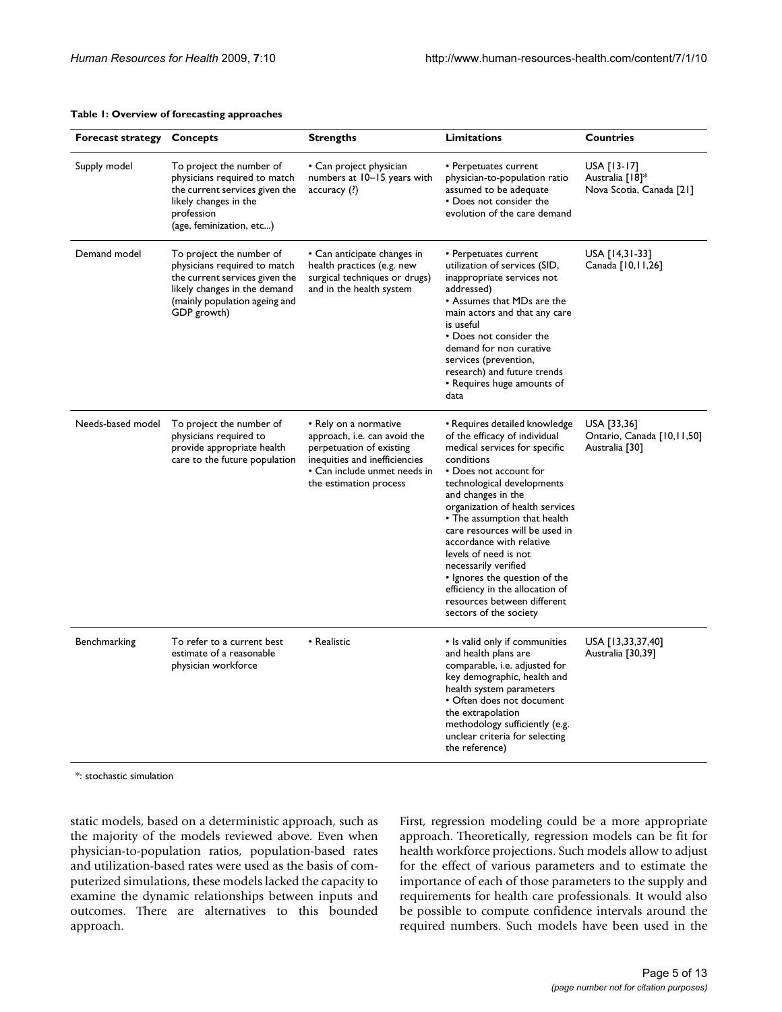#### **Table 1: Overview of forecasting approaches**

| <b>Forecast strategy</b> | <b>Concepts</b>                                                                                                                                                            | <b>Strengths</b>                                                                                                                                                                                                                                                                                                                                                                                                                                                                                                                                                                                                                                                                           | <b>Limitations</b>                                                                                                                                                                                                                                                                                                                 | <b>Countries</b>                                            |
|--------------------------|----------------------------------------------------------------------------------------------------------------------------------------------------------------------------|--------------------------------------------------------------------------------------------------------------------------------------------------------------------------------------------------------------------------------------------------------------------------------------------------------------------------------------------------------------------------------------------------------------------------------------------------------------------------------------------------------------------------------------------------------------------------------------------------------------------------------------------------------------------------------------------|------------------------------------------------------------------------------------------------------------------------------------------------------------------------------------------------------------------------------------------------------------------------------------------------------------------------------------|-------------------------------------------------------------|
| Supply model             | To project the number of<br>physicians required to match<br>the current services given the<br>likely changes in the<br>profession<br>(age, feminization, etc)              | • Can project physician<br>numbers at 10-15 years with<br>accuracy(?)                                                                                                                                                                                                                                                                                                                                                                                                                                                                                                                                                                                                                      | • Perpetuates current<br>physician-to-population ratio<br>assumed to be adequate<br>• Does not consider the<br>evolution of the care demand                                                                                                                                                                                        | USA [13-17]<br>Australia [18]*<br>Nova Scotia, Canada [21]  |
| Demand model             | To project the number of<br>physicians required to match<br>the current services given the<br>likely changes in the demand<br>(mainly population ageing and<br>GDP growth) | • Can anticipate changes in<br>health practices (e.g. new<br>surgical techniques or drugs)<br>and in the health system                                                                                                                                                                                                                                                                                                                                                                                                                                                                                                                                                                     | • Perpetuates current<br>utilization of services (SID,<br>inappropriate services not<br>addressed)<br>• Assumes that MDs are the<br>main actors and that any care<br>is useful<br>• Does not consider the<br>demand for non curative<br>services (prevention,<br>research) and future trends<br>• Requires huge amounts of<br>data | USA [14,31-33]<br>Canada [10,11,26]                         |
| Needs-based model        | To project the number of<br>physicians required to<br>provide appropriate health<br>care to the future population                                                          | • Rely on a normative<br>• Requires detailed knowledge<br>approach, i.e. can avoid the<br>of the efficacy of individual<br>perpetuation of existing<br>medical services for specific<br>inequities and inefficiencies<br>conditions<br>• Can include unmet needs in<br>• Does not account for<br>the estimation process<br>technological developments<br>and changes in the<br>organization of health services<br>• The assumption that health<br>care resources will be used in<br>accordance with relative<br>levels of need is not<br>necessarily verified<br>• Ignores the question of the<br>efficiency in the allocation of<br>resources between different<br>sectors of the society |                                                                                                                                                                                                                                                                                                                                    | USA [33,36]<br>Ontario, Canada [10,11,50]<br>Australia [30] |
| Benchmarking             | To refer to a current best<br>estimate of a reasonable<br>physician workforce                                                                                              | • Realistic                                                                                                                                                                                                                                                                                                                                                                                                                                                                                                                                                                                                                                                                                | • Is valid only if communities<br>and health plans are<br>comparable, i.e. adjusted for<br>key demographic, health and<br>health system parameters<br>· Often does not document<br>the extrapolation<br>methodology sufficiently (e.g.<br>unclear criteria for selecting<br>the reference)                                         | USA [13,33,37,40]<br>Australia [30,39]                      |

\*: stochastic simulation

static models, based on a deterministic approach, such as the majority of the models reviewed above. Even when physician-to-population ratios, population-based rates and utilization-based rates were used as the basis of computerized simulations, these models lacked the capacity to examine the dynamic relationships between inputs and outcomes. There are alternatives to this bounded approach.

First, regression modeling could be a more appropriate approach. Theoretically, regression models can be fit for health workforce projections. Such models allow to adjust for the effect of various parameters and to estimate the importance of each of those parameters to the supply and requirements for health care professionals. It would also be possible to compute confidence intervals around the required numbers. Such models have been used in the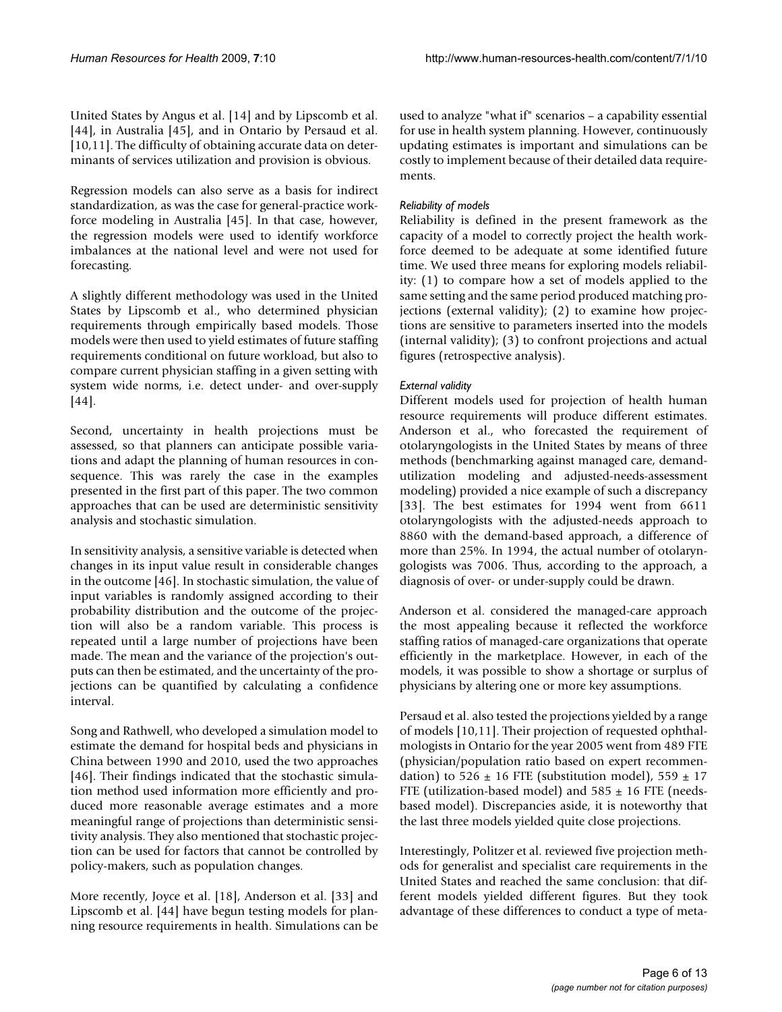United States by Angus et al. [14] and by Lipscomb et al. [44], in Australia [45], and in Ontario by Persaud et al. [10,11]. The difficulty of obtaining accurate data on determinants of services utilization and provision is obvious.

Regression models can also serve as a basis for indirect standardization, as was the case for general-practice workforce modeling in Australia [45]. In that case, however, the regression models were used to identify workforce imbalances at the national level and were not used for forecasting.

A slightly different methodology was used in the United States by Lipscomb et al., who determined physician requirements through empirically based models. Those models were then used to yield estimates of future staffing requirements conditional on future workload, but also to compare current physician staffing in a given setting with system wide norms, i.e. detect under- and over-supply [44].

Second, uncertainty in health projections must be assessed, so that planners can anticipate possible variations and adapt the planning of human resources in consequence. This was rarely the case in the examples presented in the first part of this paper. The two common approaches that can be used are deterministic sensitivity analysis and stochastic simulation.

In sensitivity analysis, a sensitive variable is detected when changes in its input value result in considerable changes in the outcome [46]. In stochastic simulation, the value of input variables is randomly assigned according to their probability distribution and the outcome of the projection will also be a random variable. This process is repeated until a large number of projections have been made. The mean and the variance of the projection's outputs can then be estimated, and the uncertainty of the projections can be quantified by calculating a confidence interval.

Song and Rathwell, who developed a simulation model to estimate the demand for hospital beds and physicians in China between 1990 and 2010, used the two approaches [46]. Their findings indicated that the stochastic simulation method used information more efficiently and produced more reasonable average estimates and a more meaningful range of projections than deterministic sensitivity analysis. They also mentioned that stochastic projection can be used for factors that cannot be controlled by policy-makers, such as population changes.

More recently, Joyce et al. [18], Anderson et al. [33] and Lipscomb et al. [44] have begun testing models for planning resource requirements in health. Simulations can be used to analyze "what if" scenarios – a capability essential for use in health system planning. However, continuously updating estimates is important and simulations can be costly to implement because of their detailed data requirements.

## *Reliability of models*

Reliability is defined in the present framework as the capacity of a model to correctly project the health workforce deemed to be adequate at some identified future time. We used three means for exploring models reliability: (1) to compare how a set of models applied to the same setting and the same period produced matching projections (external validity); (2) to examine how projections are sensitive to parameters inserted into the models (internal validity); (3) to confront projections and actual figures (retrospective analysis).

# *External validity*

Different models used for projection of health human resource requirements will produce different estimates. Anderson et al., who forecasted the requirement of otolaryngologists in the United States by means of three methods (benchmarking against managed care, demandutilization modeling and adjusted-needs-assessment modeling) provided a nice example of such a discrepancy [33]. The best estimates for 1994 went from 6611 otolaryngologists with the adjusted-needs approach to 8860 with the demand-based approach, a difference of more than 25%. In 1994, the actual number of otolaryngologists was 7006. Thus, according to the approach, a diagnosis of over- or under-supply could be drawn.

Anderson et al. considered the managed-care approach the most appealing because it reflected the workforce staffing ratios of managed-care organizations that operate efficiently in the marketplace. However, in each of the models, it was possible to show a shortage or surplus of physicians by altering one or more key assumptions.

Persaud et al. also tested the projections yielded by a range of models [10,11]. Their projection of requested ophthalmologists in Ontario for the year 2005 went from 489 FTE (physician/population ratio based on expert recommendation) to  $526 \pm 16$  FTE (substitution model),  $559 \pm 17$ FTE (utilization-based model) and  $585 \pm 16$  FTE (needsbased model). Discrepancies aside, it is noteworthy that the last three models yielded quite close projections.

Interestingly, Politzer et al. reviewed five projection methods for generalist and specialist care requirements in the United States and reached the same conclusion: that different models yielded different figures. But they took advantage of these differences to conduct a type of meta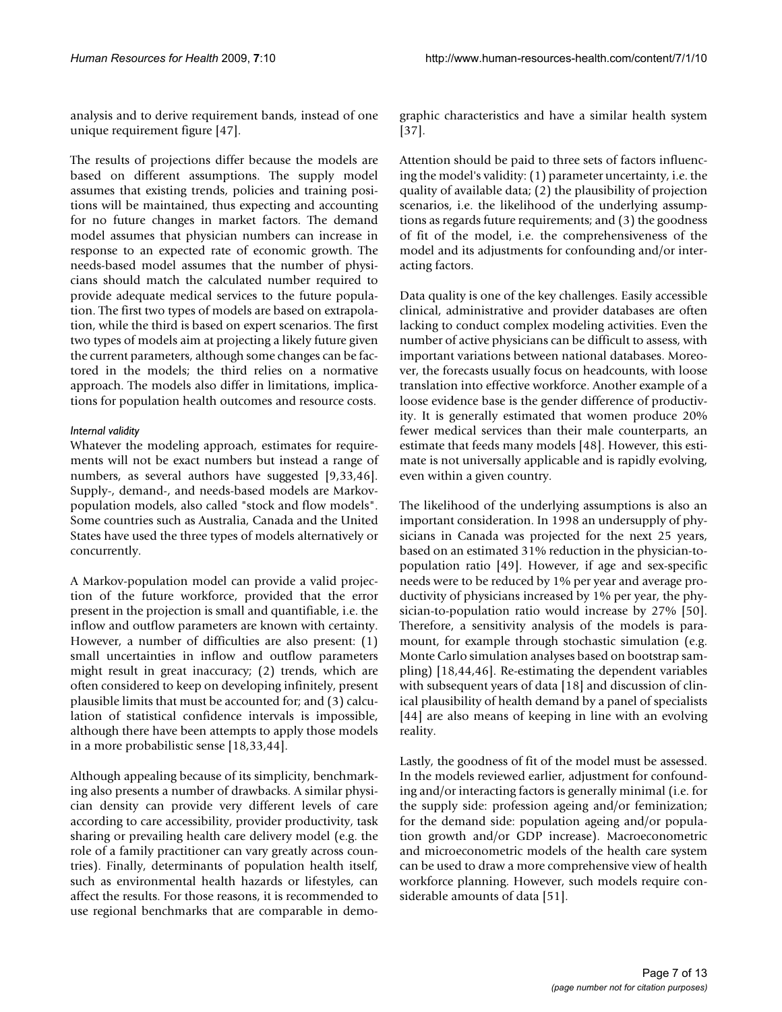analysis and to derive requirement bands, instead of one unique requirement figure [47].

The results of projections differ because the models are based on different assumptions. The supply model assumes that existing trends, policies and training positions will be maintained, thus expecting and accounting for no future changes in market factors. The demand model assumes that physician numbers can increase in response to an expected rate of economic growth. The needs-based model assumes that the number of physicians should match the calculated number required to provide adequate medical services to the future population. The first two types of models are based on extrapolation, while the third is based on expert scenarios. The first two types of models aim at projecting a likely future given the current parameters, although some changes can be factored in the models; the third relies on a normative approach. The models also differ in limitations, implications for population health outcomes and resource costs.

#### *Internal validity*

Whatever the modeling approach, estimates for requirements will not be exact numbers but instead a range of numbers, as several authors have suggested [9,33,46]. Supply-, demand-, and needs-based models are Markovpopulation models, also called "stock and flow models". Some countries such as Australia, Canada and the United States have used the three types of models alternatively or concurrently.

A Markov-population model can provide a valid projection of the future workforce, provided that the error present in the projection is small and quantifiable, i.e. the inflow and outflow parameters are known with certainty. However, a number of difficulties are also present: (1) small uncertainties in inflow and outflow parameters might result in great inaccuracy; (2) trends, which are often considered to keep on developing infinitely, present plausible limits that must be accounted for; and (3) calculation of statistical confidence intervals is impossible, although there have been attempts to apply those models in a more probabilistic sense [18,33,44].

Although appealing because of its simplicity, benchmarking also presents a number of drawbacks. A similar physician density can provide very different levels of care according to care accessibility, provider productivity, task sharing or prevailing health care delivery model (e.g. the role of a family practitioner can vary greatly across countries). Finally, determinants of population health itself, such as environmental health hazards or lifestyles, can affect the results. For those reasons, it is recommended to use regional benchmarks that are comparable in demographic characteristics and have a similar health system [37].

Attention should be paid to three sets of factors influencing the model's validity: (1) parameter uncertainty, i.e. the quality of available data; (2) the plausibility of projection scenarios, i.e. the likelihood of the underlying assumptions as regards future requirements; and (3) the goodness of fit of the model, i.e. the comprehensiveness of the model and its adjustments for confounding and/or interacting factors.

Data quality is one of the key challenges. Easily accessible clinical, administrative and provider databases are often lacking to conduct complex modeling activities. Even the number of active physicians can be difficult to assess, with important variations between national databases. Moreover, the forecasts usually focus on headcounts, with loose translation into effective workforce. Another example of a loose evidence base is the gender difference of productivity. It is generally estimated that women produce 20% fewer medical services than their male counterparts, an estimate that feeds many models [48]. However, this estimate is not universally applicable and is rapidly evolving, even within a given country.

The likelihood of the underlying assumptions is also an important consideration. In 1998 an undersupply of physicians in Canada was projected for the next 25 years, based on an estimated 31% reduction in the physician-topopulation ratio [49]. However, if age and sex-specific needs were to be reduced by 1% per year and average productivity of physicians increased by 1% per year, the physician-to-population ratio would increase by 27% [50]. Therefore, a sensitivity analysis of the models is paramount, for example through stochastic simulation (e.g. Monte Carlo simulation analyses based on bootstrap sampling) [18,44,46]. Re-estimating the dependent variables with subsequent years of data [18] and discussion of clinical plausibility of health demand by a panel of specialists [44] are also means of keeping in line with an evolving reality.

Lastly, the goodness of fit of the model must be assessed. In the models reviewed earlier, adjustment for confounding and/or interacting factors is generally minimal (i.e. for the supply side: profession ageing and/or feminization; for the demand side: population ageing and/or population growth and/or GDP increase). Macroeconometric and microeconometric models of the health care system can be used to draw a more comprehensive view of health workforce planning. However, such models require considerable amounts of data [51].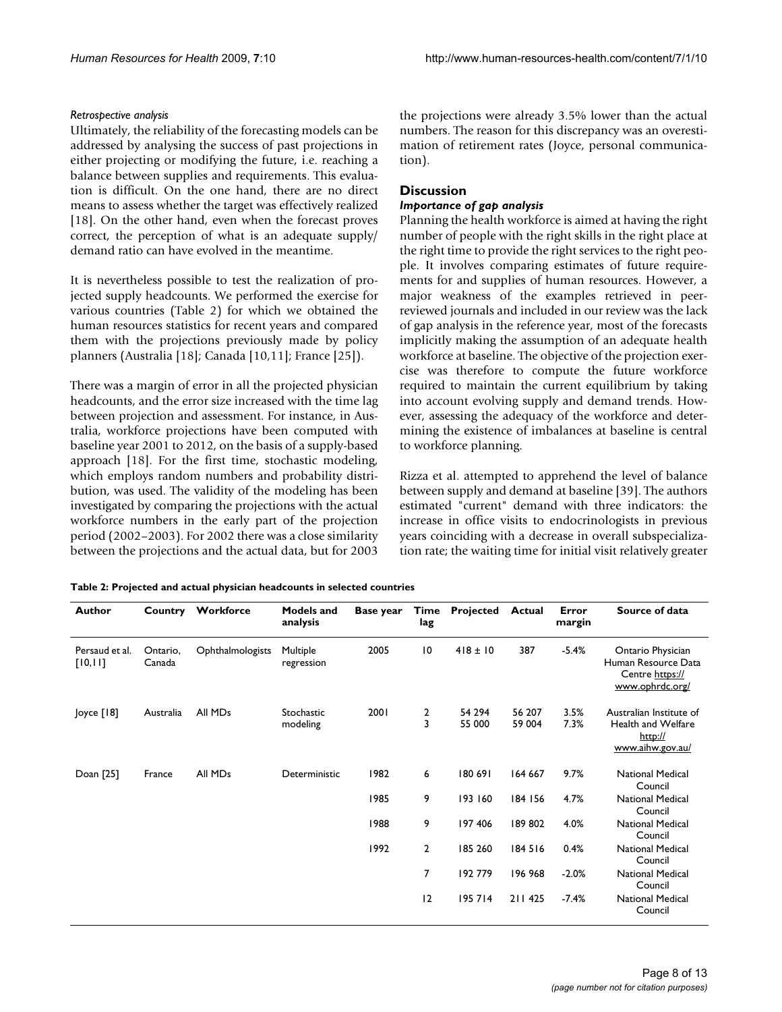## *Retrospective analysis*

Ultimately, the reliability of the forecasting models can be addressed by analysing the success of past projections in either projecting or modifying the future, i.e. reaching a balance between supplies and requirements. This evaluation is difficult. On the one hand, there are no direct means to assess whether the target was effectively realized [18]. On the other hand, even when the forecast proves correct, the perception of what is an adequate supply/ demand ratio can have evolved in the meantime.

It is nevertheless possible to test the realization of projected supply headcounts. We performed the exercise for various countries (Table 2) for which we obtained the human resources statistics for recent years and compared them with the projections previously made by policy planners (Australia [18]; Canada [10,11]; France [25]).

There was a margin of error in all the projected physician headcounts, and the error size increased with the time lag between projection and assessment. For instance, in Australia, workforce projections have been computed with baseline year 2001 to 2012, on the basis of a supply-based approach [18]. For the first time, stochastic modeling, which employs random numbers and probability distribution, was used. The validity of the modeling has been investigated by comparing the projections with the actual workforce numbers in the early part of the projection period (2002–2003). For 2002 there was a close similarity between the projections and the actual data, but for 2003

the projections were already 3.5% lower than the actual numbers. The reason for this discrepancy was an overestimation of retirement rates (Joyce, personal communication).

# **Discussion**

## *Importance of gap analysis*

Planning the health workforce is aimed at having the right number of people with the right skills in the right place at the right time to provide the right services to the right people. It involves comparing estimates of future requirements for and supplies of human resources. However, a major weakness of the examples retrieved in peerreviewed journals and included in our review was the lack of gap analysis in the reference year, most of the forecasts implicitly making the assumption of an adequate health workforce at baseline. The objective of the projection exercise was therefore to compute the future workforce required to maintain the current equilibrium by taking into account evolving supply and demand trends. However, assessing the adequacy of the workforce and determining the existence of imbalances at baseline is central to workforce planning.

Rizza et al. attempted to apprehend the level of balance between supply and demand at baseline [39]. The authors estimated "current" demand with three indicators: the increase in office visits to endocrinologists in previous years coinciding with a decrease in overall subspecialization rate; the waiting time for initial visit relatively greater

**Table 2: Projected and actual physician headcounts in selected countries**

| Author                     | Country            | Workforce        | <b>Models and</b><br>analysis | Base year | Time<br>lag    | <b>Projected</b> | <b>Actual</b>    | Error<br>margin | Source of data                                                                 |
|----------------------------|--------------------|------------------|-------------------------------|-----------|----------------|------------------|------------------|-----------------|--------------------------------------------------------------------------------|
| Persaud et al.<br>[10, 11] | Ontario,<br>Canada | Ophthalmologists | Multiple<br>regression        | 2005      | 10             | $418 \pm 10$     | 387              | $-5.4%$         | Ontario Physician<br>Human Resource Data<br>Centre https://<br>www.ophrdc.org/ |
| Joyce [18]                 | Australia          | All MDs          | Stochastic<br>modeling        | 2001      | 2<br>3         | 54 294<br>55 000 | 56 207<br>59 004 | 3.5%<br>7.3%    | Australian Institute of<br>Health and Welfare<br>http://<br>www.aihw.gov.au/   |
| Doan [25]                  | France             | All MDs          | Deterministic                 | 1982      | 6              | 180 691          | 164 667          | 9.7%            | <b>National Medical</b><br>Council                                             |
|                            |                    |                  |                               | 1985      | 9              | 193 160          | 184 156          | 4.7%            | <b>National Medical</b><br>Council                                             |
|                            |                    |                  |                               | 1988      | 9              | 197 406          | 189 802          | 4.0%            | <b>National Medical</b><br>Council                                             |
|                            |                    |                  |                               | 1992      | $\overline{2}$ | 185 260          | 184 516          | 0.4%            | <b>National Medical</b><br>Council                                             |
|                            |                    |                  |                               |           | 7              | 192779           | 196 968          | $-2.0%$         | <b>National Medical</b><br>Council                                             |
|                            |                    |                  |                               |           | 12             | 195 714          | 211 425          | $-7.4%$         | National Medical<br>Council                                                    |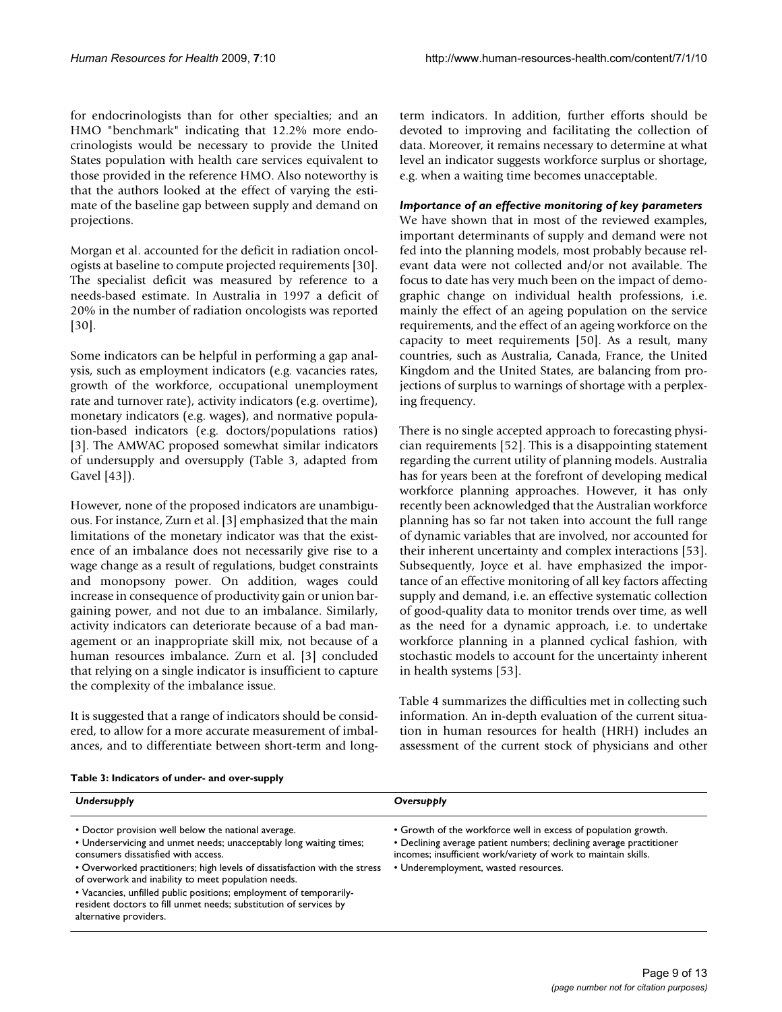for endocrinologists than for other specialties; and an HMO "benchmark" indicating that 12.2% more endocrinologists would be necessary to provide the United States population with health care services equivalent to those provided in the reference HMO. Also noteworthy is that the authors looked at the effect of varying the estimate of the baseline gap between supply and demand on projections.

Morgan et al. accounted for the deficit in radiation oncologists at baseline to compute projected requirements [30]. The specialist deficit was measured by reference to a needs-based estimate. In Australia in 1997 a deficit of 20% in the number of radiation oncologists was reported [30].

Some indicators can be helpful in performing a gap analysis, such as employment indicators (e.g. vacancies rates, growth of the workforce, occupational unemployment rate and turnover rate), activity indicators (e.g. overtime), monetary indicators (e.g. wages), and normative population-based indicators (e.g. doctors/populations ratios) [3]. The AMWAC proposed somewhat similar indicators of undersupply and oversupply (Table 3, adapted from Gavel [43]).

However, none of the proposed indicators are unambiguous. For instance, Zurn et al. [3] emphasized that the main limitations of the monetary indicator was that the existence of an imbalance does not necessarily give rise to a wage change as a result of regulations, budget constraints and monopsony power. On addition, wages could increase in consequence of productivity gain or union bargaining power, and not due to an imbalance. Similarly, activity indicators can deteriorate because of a bad management or an inappropriate skill mix, not because of a human resources imbalance. Zurn et al. [3] concluded that relying on a single indicator is insufficient to capture the complexity of the imbalance issue.

It is suggested that a range of indicators should be considered, to allow for a more accurate measurement of imbalances, and to differentiate between short-term and longterm indicators. In addition, further efforts should be devoted to improving and facilitating the collection of data. Moreover, it remains necessary to determine at what level an indicator suggests workforce surplus or shortage, e.g. when a waiting time becomes unacceptable.

# *Importance of an effective monitoring of key parameters*

We have shown that in most of the reviewed examples, important determinants of supply and demand were not fed into the planning models, most probably because relevant data were not collected and/or not available. The focus to date has very much been on the impact of demographic change on individual health professions, i.e. mainly the effect of an ageing population on the service requirements, and the effect of an ageing workforce on the capacity to meet requirements [50]. As a result, many countries, such as Australia, Canada, France, the United Kingdom and the United States, are balancing from projections of surplus to warnings of shortage with a perplexing frequency.

There is no single accepted approach to forecasting physician requirements [52]. This is a disappointing statement regarding the current utility of planning models. Australia has for years been at the forefront of developing medical workforce planning approaches. However, it has only recently been acknowledged that the Australian workforce planning has so far not taken into account the full range of dynamic variables that are involved, nor accounted for their inherent uncertainty and complex interactions [53]. Subsequently, Joyce et al. have emphasized the importance of an effective monitoring of all key factors affecting supply and demand, i.e. an effective systematic collection of good-quality data to monitor trends over time, as well as the need for a dynamic approach, i.e. to undertake workforce planning in a planned cyclical fashion, with stochastic models to account for the uncertainty inherent in health systems [53].

Table 4 summarizes the difficulties met in collecting such information. An in-depth evaluation of the current situation in human resources for health (HRH) includes an assessment of the current stock of physicians and other

|  | Table 3: Indicators of under- and over-supply |  |  |  |
|--|-----------------------------------------------|--|--|--|
|  |                                               |  |  |  |

| <b>Undersupply</b>                                                                                                                                                                                                                                                                                                                                                                                                                                                         | Oversupply                                                                                                                                                                                                                                      |
|----------------------------------------------------------------------------------------------------------------------------------------------------------------------------------------------------------------------------------------------------------------------------------------------------------------------------------------------------------------------------------------------------------------------------------------------------------------------------|-------------------------------------------------------------------------------------------------------------------------------------------------------------------------------------------------------------------------------------------------|
| • Doctor provision well below the national average.<br>• Underservicing and unmet needs; unacceptably long waiting times;<br>consumers dissatisfied with access.<br>• Overworked practitioners; high levels of dissatisfaction with the stress<br>of overwork and inability to meet population needs.<br>• Vacancies, unfilled public positions; employment of temporarily-<br>resident doctors to fill unmet needs; substitution of services by<br>alternative providers. | • Growth of the workforce well in excess of population growth.<br>• Declining average patient numbers; declining average practitioner<br>incomes; insufficient work/variety of work to maintain skills.<br>• Underemployment, wasted resources. |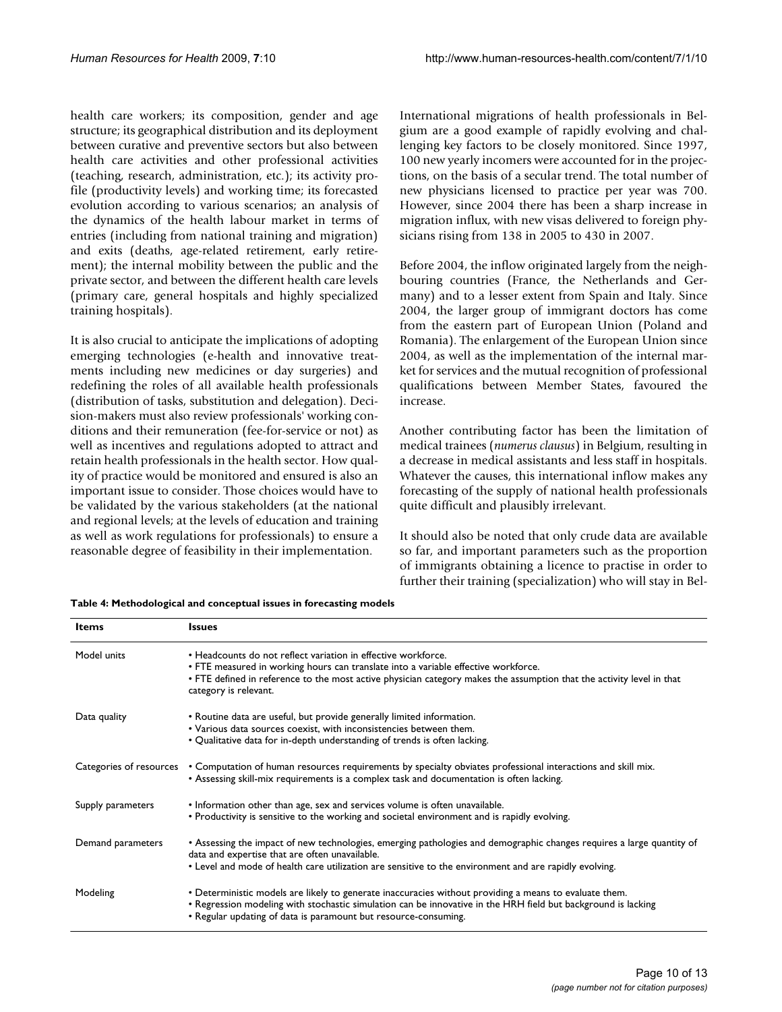health care workers; its composition, gender and age structure; its geographical distribution and its deployment between curative and preventive sectors but also between health care activities and other professional activities (teaching, research, administration, etc.); its activity profile (productivity levels) and working time; its forecasted evolution according to various scenarios; an analysis of the dynamics of the health labour market in terms of entries (including from national training and migration) and exits (deaths, age-related retirement, early retirement); the internal mobility between the public and the private sector, and between the different health care levels (primary care, general hospitals and highly specialized training hospitals).

It is also crucial to anticipate the implications of adopting emerging technologies (e-health and innovative treatments including new medicines or day surgeries) and redefining the roles of all available health professionals (distribution of tasks, substitution and delegation). Decision-makers must also review professionals' working conditions and their remuneration (fee-for-service or not) as well as incentives and regulations adopted to attract and retain health professionals in the health sector. How quality of practice would be monitored and ensured is also an important issue to consider. Those choices would have to be validated by the various stakeholders (at the national and regional levels; at the levels of education and training as well as work regulations for professionals) to ensure a reasonable degree of feasibility in their implementation.

International migrations of health professionals in Belgium are a good example of rapidly evolving and challenging key factors to be closely monitored. Since 1997, 100 new yearly incomers were accounted for in the projections, on the basis of a secular trend. The total number of new physicians licensed to practice per year was 700. However, since 2004 there has been a sharp increase in migration influx, with new visas delivered to foreign physicians rising from 138 in 2005 to 430 in 2007.

Before 2004, the inflow originated largely from the neighbouring countries (France, the Netherlands and Germany) and to a lesser extent from Spain and Italy. Since 2004, the larger group of immigrant doctors has come from the eastern part of European Union (Poland and Romania). The enlargement of the European Union since 2004, as well as the implementation of the internal market for services and the mutual recognition of professional qualifications between Member States, favoured the increase.

Another contributing factor has been the limitation of medical trainees (*numerus clausus*) in Belgium, resulting in a decrease in medical assistants and less staff in hospitals. Whatever the causes, this international inflow makes any forecasting of the supply of national health professionals quite difficult and plausibly irrelevant.

It should also be noted that only crude data are available so far, and important parameters such as the proportion of immigrants obtaining a licence to practise in order to further their training (specialization) who will stay in Bel-

| Table 4: Methodological and conceptual issues in forecasting models |  |  |  |  |
|---------------------------------------------------------------------|--|--|--|--|
|---------------------------------------------------------------------|--|--|--|--|

| <b>Items</b>            | <b>Issues</b>                                                                                                                                                                                                                                                                                         |
|-------------------------|-------------------------------------------------------------------------------------------------------------------------------------------------------------------------------------------------------------------------------------------------------------------------------------------------------|
| Model units             | • Headcounts do not reflect variation in effective workforce.<br>. FTE measured in working hours can translate into a variable effective workforce.<br>• FTE defined in reference to the most active physician category makes the assumption that the activity level in that<br>category is relevant. |
| Data quality            | • Routine data are useful, but provide generally limited information.<br>• Various data sources coexist, with inconsistencies between them.<br>• Qualitative data for in-depth understanding of trends is often lacking.                                                                              |
| Categories of resources | • Computation of human resources requirements by specialty obviates professional interactions and skill mix.<br>• Assessing skill-mix requirements is a complex task and documentation is often lacking.                                                                                              |
| Supply parameters       | • Information other than age, sex and services volume is often unavailable.<br>• Productivity is sensitive to the working and societal environment and is rapidly evolving.                                                                                                                           |
| Demand parameters       | • Assessing the impact of new technologies, emerging pathologies and demographic changes requires a large quantity of<br>data and expertise that are often unavailable.<br>• Level and mode of health care utilization are sensitive to the environment and are rapidly evolving.                     |
| Modeling                | • Deterministic models are likely to generate inaccuracies without providing a means to evaluate them.<br>. Regression modeling with stochastic simulation can be innovative in the HRH field but background is lacking<br>• Regular updating of data is paramount but resource-consuming.            |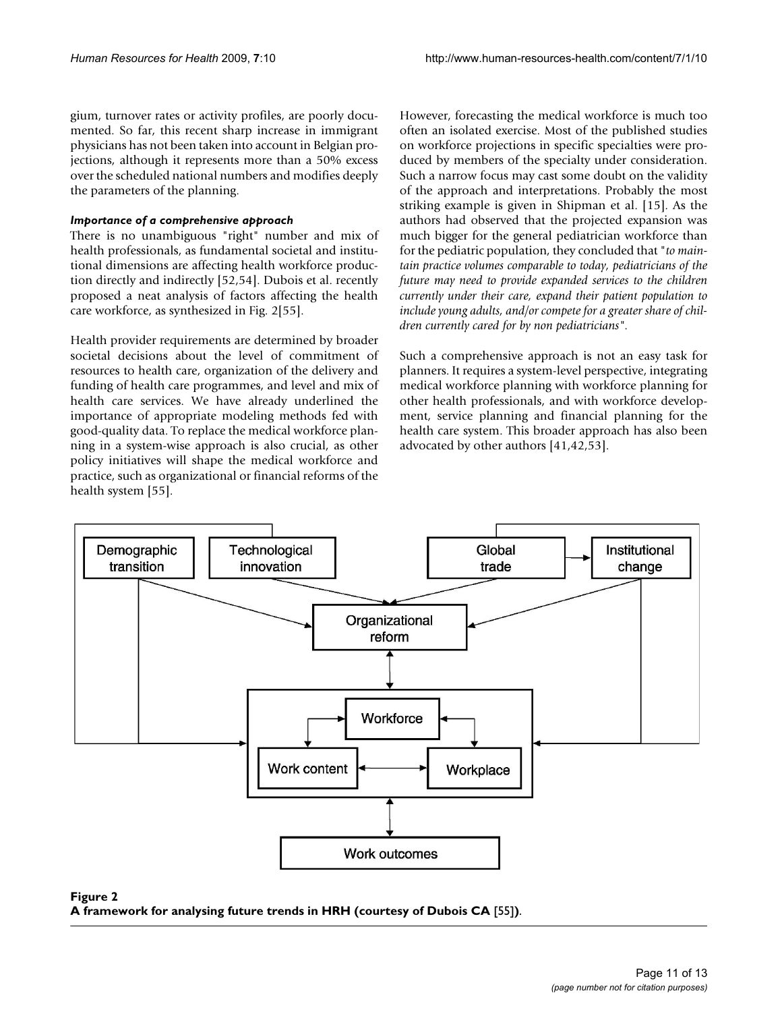gium, turnover rates or activity profiles, are poorly documented. So far, this recent sharp increase in immigrant physicians has not been taken into account in Belgian projections, although it represents more than a 50% excess over the scheduled national numbers and modifies deeply the parameters of the planning.

#### *Importance of a comprehensive approach*

There is no unambiguous "right" number and mix of health professionals, as fundamental societal and institutional dimensions are affecting health workforce production directly and indirectly [52,54]. Dubois et al. recently proposed a neat analysis of factors affecting the health care workforce, as synthesized in Fig. 2[55].

Health provider requirements are determined by broader societal decisions about the level of commitment of resources to health care, organization of the delivery and funding of health care programmes, and level and mix of health care services. We have already underlined the importance of appropriate modeling methods fed with good-quality data. To replace the medical workforce planning in a system-wise approach is also crucial, as other policy initiatives will shape the medical workforce and practice, such as organizational or financial reforms of the health system [55].

However, forecasting the medical workforce is much too often an isolated exercise. Most of the published studies on workforce projections in specific specialties were produced by members of the specialty under consideration. Such a narrow focus may cast some doubt on the validity of the approach and interpretations. Probably the most striking example is given in Shipman et al. [15]. As the authors had observed that the projected expansion was much bigger for the general pediatrician workforce than for the pediatric population, they concluded that "*to maintain practice volumes comparable to today, pediatricians of the future may need to provide expanded services to the children currently under their care, expand their patient population to include young adults, and/or compete for a greater share of children currently cared for by non pediatricians"*.

Such a comprehensive approach is not an easy task for planners. It requires a system-level perspective, integrating medical workforce planning with workforce planning for other health professionals, and with workforce development, service planning and financial planning for the health care system. This broader approach has also been advocated by other authors [41,42,53].



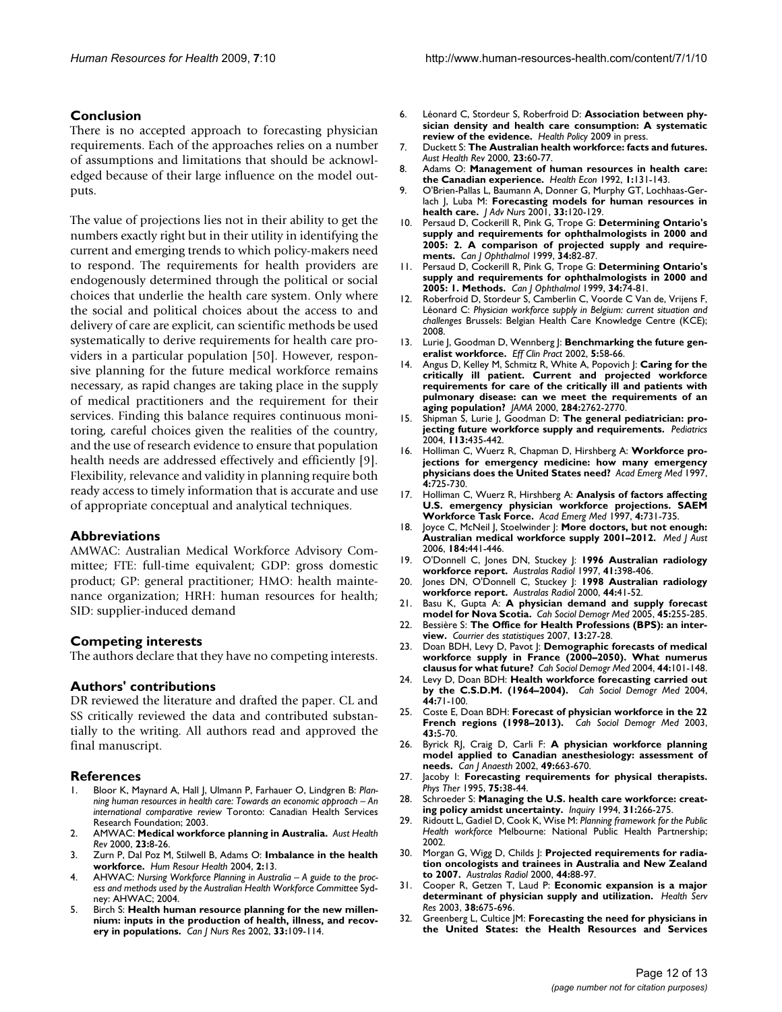#### **Conclusion**

There is no accepted approach to forecasting physician requirements. Each of the approaches relies on a number of assumptions and limitations that should be acknowledged because of their large influence on the model outputs.

The value of projections lies not in their ability to get the numbers exactly right but in their utility in identifying the current and emerging trends to which policy-makers need to respond. The requirements for health providers are endogenously determined through the political or social choices that underlie the health care system. Only where the social and political choices about the access to and delivery of care are explicit, can scientific methods be used systematically to derive requirements for health care providers in a particular population [50]. However, responsive planning for the future medical workforce remains necessary, as rapid changes are taking place in the supply of medical practitioners and the requirement for their services. Finding this balance requires continuous monitoring, careful choices given the realities of the country, and the use of research evidence to ensure that population health needs are addressed effectively and efficiently [9]. Flexibility, relevance and validity in planning require both ready access to timely information that is accurate and use of appropriate conceptual and analytical techniques.

#### **Abbreviations**

AMWAC: Australian Medical Workforce Advisory Committee; FTE: full-time equivalent; GDP: gross domestic product; GP: general practitioner; HMO: health maintenance organization; HRH: human resources for health; SID: supplier-induced demand

#### **Competing interests**

The authors declare that they have no competing interests.

#### **Authors' contributions**

DR reviewed the literature and drafted the paper. CL and SS critically reviewed the data and contributed substantially to the writing. All authors read and approved the final manuscript.

#### **References**

- 1. Bloor K, Maynard A, Hall J, Ulmann P, Farhauer O, Lindgren B: *Planning human resources in health care: Towards an economic approach – An international comparative review* Toronto: Canadian Health Services Research Foundation; 2003.
- 2. AMWAC: **[Medical workforce planning in Australia.](http://www.ncbi.nlm.nih.gov/entrez/query.fcgi?cmd=Retrieve&db=PubMed&dopt=Abstract&list_uids=11256274)** *Aust Health Rev* 2000, **23:**8-26.
- 3. Zurn P, Dal Poz M, Stilwell B, Adams O: **[Imbalance in the health](http://www.ncbi.nlm.nih.gov/entrez/query.fcgi?cmd=Retrieve&db=PubMed&dopt=Abstract&list_uids=15377382) [workforce.](http://www.ncbi.nlm.nih.gov/entrez/query.fcgi?cmd=Retrieve&db=PubMed&dopt=Abstract&list_uids=15377382)** *Hum Resour Health* 2004, **2:**13.
- 4. AHWAC: *Nursing Workforce Planning in Australia A guide to the process and methods used by the Australian Health Workforce Committee* Sydney: AHWAC; 2004.
- 5. Birch S: **[Health human resource planning for the new millen](http://www.ncbi.nlm.nih.gov/entrez/query.fcgi?cmd=Retrieve&db=PubMed&dopt=Abstract&list_uids=11998188)[nium: inputs in the production of health, illness, and recov](http://www.ncbi.nlm.nih.gov/entrez/query.fcgi?cmd=Retrieve&db=PubMed&dopt=Abstract&list_uids=11998188)[ery in populations.](http://www.ncbi.nlm.nih.gov/entrez/query.fcgi?cmd=Retrieve&db=PubMed&dopt=Abstract&list_uids=11998188)** *Can J Nurs Res* 2002, **33:**109-114.
- 6. Léonard C, Stordeur S, Roberfroid D: **[Association between phy](http://www.ncbi.nlm.nih.gov/entrez/query.fcgi?cmd=Retrieve&db=PubMed&dopt=Abstract&list_uids=19150579 )[sician density and health care consumption: A systematic](http://www.ncbi.nlm.nih.gov/entrez/query.fcgi?cmd=Retrieve&db=PubMed&dopt=Abstract&list_uids=19150579 ) [review of the evidence.](http://www.ncbi.nlm.nih.gov/entrez/query.fcgi?cmd=Retrieve&db=PubMed&dopt=Abstract&list_uids=19150579 )** *Health Policy* 2009 in press.
- 7. Duckett S: **[The Australian health workforce: facts and futures.](http://www.ncbi.nlm.nih.gov/entrez/query.fcgi?cmd=Retrieve&db=PubMed&dopt=Abstract&list_uids=11256272)** *Aust Health Rev* 2000, **23:**60-77.
- 8. Adams O: **[Management of human resources in health care:](http://www.ncbi.nlm.nih.gov/entrez/query.fcgi?cmd=Retrieve&db=PubMed&dopt=Abstract&list_uids=1341930) [the Canadian experience.](http://www.ncbi.nlm.nih.gov/entrez/query.fcgi?cmd=Retrieve&db=PubMed&dopt=Abstract&list_uids=1341930)** *Health Econ* 1992, **1:**131-143.
- 9. O'Brien-Pallas L, Baumann A, Donner G, Murphy GT, Lochhaas-Gerlach J, Luba M: **[Forecasting models for human resources in](http://www.ncbi.nlm.nih.gov/entrez/query.fcgi?cmd=Retrieve&db=PubMed&dopt=Abstract&list_uids=11155116) [health care.](http://www.ncbi.nlm.nih.gov/entrez/query.fcgi?cmd=Retrieve&db=PubMed&dopt=Abstract&list_uids=11155116)** *J Adv Nurs* 2001, **33:**120-129.
- 10. Persaud D, Cockerill R, Pink G, Trope G: **[Determining Ontario's](http://www.ncbi.nlm.nih.gov/entrez/query.fcgi?cmd=Retrieve&db=PubMed&dopt=Abstract&list_uids=10321318) [supply and requirements for ophthalmologists in 2000 and](http://www.ncbi.nlm.nih.gov/entrez/query.fcgi?cmd=Retrieve&db=PubMed&dopt=Abstract&list_uids=10321318) 2005: 2. A comparison of projected supply and require[ments.](http://www.ncbi.nlm.nih.gov/entrez/query.fcgi?cmd=Retrieve&db=PubMed&dopt=Abstract&list_uids=10321318)** *Can J Ophthalmol* 1999, **34:**82-87.
- 11. Persaud D, Cockerill R, Pink G, Trope G: **[Determining Ontario's](http://www.ncbi.nlm.nih.gov/entrez/query.fcgi?cmd=Retrieve&db=PubMed&dopt=Abstract&list_uids=10321317) [supply and requirements for ophthalmologists in 2000 and](http://www.ncbi.nlm.nih.gov/entrez/query.fcgi?cmd=Retrieve&db=PubMed&dopt=Abstract&list_uids=10321317) [2005: 1. Methods.](http://www.ncbi.nlm.nih.gov/entrez/query.fcgi?cmd=Retrieve&db=PubMed&dopt=Abstract&list_uids=10321317)** *Can J Ophthalmol* 1999, **34:**74-81.
- 12. Roberfroid D, Stordeur S, Camberlin C, Voorde C Van de, Vrijens F, Léonard C: *Physician workforce supply in Belgium: current situation and challenges* Brussels: Belgian Health Care Knowledge Centre (KCE); 2008.
- 13. Lurie J, Goodman D, Wennberg J: [Benchmarking the future gen](http://www.ncbi.nlm.nih.gov/entrez/query.fcgi?cmd=Retrieve&db=PubMed&dopt=Abstract&list_uids=11990213)**[eralist workforce.](http://www.ncbi.nlm.nih.gov/entrez/query.fcgi?cmd=Retrieve&db=PubMed&dopt=Abstract&list_uids=11990213)** *Eff Clin Pract* 2002, **5:**58-66.
- 14. Angus D, Kelley M, Schmitz R, White A, Popovich J: **[Caring for the](http://www.ncbi.nlm.nih.gov/entrez/query.fcgi?cmd=Retrieve&db=PubMed&dopt=Abstract&list_uids=11105183) [critically ill patient. Current and projected workforce](http://www.ncbi.nlm.nih.gov/entrez/query.fcgi?cmd=Retrieve&db=PubMed&dopt=Abstract&list_uids=11105183) requirements for care of the critically ill and patients with pulmonary disease: can we meet the requirements of an [aging population?](http://www.ncbi.nlm.nih.gov/entrez/query.fcgi?cmd=Retrieve&db=PubMed&dopt=Abstract&list_uids=11105183)** *JAMA* 2000, **284:**2762-2770.
- 15. Shipman S, Lurie J, Goodman D: **[The general pediatrician: pro](http://www.ncbi.nlm.nih.gov/entrez/query.fcgi?cmd=Retrieve&db=PubMed&dopt=Abstract&list_uids=14993531)[jecting future workforce supply and requirements.](http://www.ncbi.nlm.nih.gov/entrez/query.fcgi?cmd=Retrieve&db=PubMed&dopt=Abstract&list_uids=14993531)** *Pediatrics* 2004, **113:**435-442.
- 16. Holliman C, Wuerz R, Chapman D, Hirshberg A: **[Workforce pro](http://www.ncbi.nlm.nih.gov/entrez/query.fcgi?cmd=Retrieve&db=PubMed&dopt=Abstract&list_uids=9223699)[jections for emergency medicine: how many emergency](http://www.ncbi.nlm.nih.gov/entrez/query.fcgi?cmd=Retrieve&db=PubMed&dopt=Abstract&list_uids=9223699) [physicians does the United States need?](http://www.ncbi.nlm.nih.gov/entrez/query.fcgi?cmd=Retrieve&db=PubMed&dopt=Abstract&list_uids=9223699)** *Acad Emerg Med* 1997, **4:**725-730.
- 17. Holliman C, Wuerz R, Hirshberg A: **[Analysis of factors affecting](http://www.ncbi.nlm.nih.gov/entrez/query.fcgi?cmd=Retrieve&db=PubMed&dopt=Abstract&list_uids=9223700) [U.S. emergency physician workforce projections. SAEM](http://www.ncbi.nlm.nih.gov/entrez/query.fcgi?cmd=Retrieve&db=PubMed&dopt=Abstract&list_uids=9223700) [Workforce Task Force.](http://www.ncbi.nlm.nih.gov/entrez/query.fcgi?cmd=Retrieve&db=PubMed&dopt=Abstract&list_uids=9223700)** *Acad Emerg Med* 1997, **4:**731-735.
- 18. Joyce C, McNeil J, Stoelwinder J: **[More doctors, but not enough:](http://www.ncbi.nlm.nih.gov/entrez/query.fcgi?cmd=Retrieve&db=PubMed&dopt=Abstract&list_uids=16646743) [Australian medical workforce supply 2001–2012.](http://www.ncbi.nlm.nih.gov/entrez/query.fcgi?cmd=Retrieve&db=PubMed&dopt=Abstract&list_uids=16646743)** *Med J Aust* 2006, **184:**441-446.
- 19. O'Donnell C, Jones DN, Stuckey J: **[1996 Australian radiology](http://www.ncbi.nlm.nih.gov/entrez/query.fcgi?cmd=Retrieve&db=PubMed&dopt=Abstract&list_uids=9409039) [workforce report.](http://www.ncbi.nlm.nih.gov/entrez/query.fcgi?cmd=Retrieve&db=PubMed&dopt=Abstract&list_uids=9409039)** *Australas Radiol* 1997, **41:**398-406.
- 20. Jones DN, O'Donnell C, Stuckey J: **[1998 Australian radiology](http://www.ncbi.nlm.nih.gov/entrez/query.fcgi?cmd=Retrieve&db=PubMed&dopt=Abstract&list_uids=10761259) [workforce report.](http://www.ncbi.nlm.nih.gov/entrez/query.fcgi?cmd=Retrieve&db=PubMed&dopt=Abstract&list_uids=10761259)** *Australas Radiol* 2000, **44:**41-52.
- 21. Basu K, Gupta A: **[A physician demand and supply forecast](http://www.ncbi.nlm.nih.gov/entrez/query.fcgi?cmd=Retrieve&db=PubMed&dopt=Abstract&list_uids=16285405) [model for Nova Scotia.](http://www.ncbi.nlm.nih.gov/entrez/query.fcgi?cmd=Retrieve&db=PubMed&dopt=Abstract&list_uids=16285405)** *Cah Sociol Demogr Med* 2005, **45:**255-285.
- 22. Bessière S: **The Office for Health Professions (BPS): an interview.** *Courrier des statistiques* 2007, **13:**27-28.
- 23. Doan BDH, Levy D, Pavot J: **[Demographic forecasts of medical](http://www.ncbi.nlm.nih.gov/entrez/query.fcgi?cmd=Retrieve&db=PubMed&dopt=Abstract&list_uids=15146660) [workforce supply in France \(2000–2050\). What numerus](http://www.ncbi.nlm.nih.gov/entrez/query.fcgi?cmd=Retrieve&db=PubMed&dopt=Abstract&list_uids=15146660) [clausus for what future?](http://www.ncbi.nlm.nih.gov/entrez/query.fcgi?cmd=Retrieve&db=PubMed&dopt=Abstract&list_uids=15146660)** *Cah Sociol Demogr Med* 2004, **44:**101-148.
- 24. Levy D, Doan BDH: **[Health workforce forecasting carried out](http://www.ncbi.nlm.nih.gov/entrez/query.fcgi?cmd=Retrieve&db=PubMed&dopt=Abstract&list_uids=15146659) [by the C.S.D.M. \(1964–2004\).](http://www.ncbi.nlm.nih.gov/entrez/query.fcgi?cmd=Retrieve&db=PubMed&dopt=Abstract&list_uids=15146659)** *Cah Sociol Demogr Med* 2004, **44:**71-100.
- 25. Coste E, Doan BDH: **[Forecast of physician workforce in the 22](http://www.ncbi.nlm.nih.gov/entrez/query.fcgi?cmd=Retrieve&db=PubMed&dopt=Abstract&list_uids=12693355) [French regions \(1998–2013\).](http://www.ncbi.nlm.nih.gov/entrez/query.fcgi?cmd=Retrieve&db=PubMed&dopt=Abstract&list_uids=12693355)** *Cah Sociol Demogr Med* 2003, **43:**5-70.
- 26. Byrick RJ, Craig D, Carli F: **[A physician workforce planning](http://www.ncbi.nlm.nih.gov/entrez/query.fcgi?cmd=Retrieve&db=PubMed&dopt=Abstract&list_uids=12193482) [model applied to Canadian anesthesiology: assessment of](http://www.ncbi.nlm.nih.gov/entrez/query.fcgi?cmd=Retrieve&db=PubMed&dopt=Abstract&list_uids=12193482) [needs.](http://www.ncbi.nlm.nih.gov/entrez/query.fcgi?cmd=Retrieve&db=PubMed&dopt=Abstract&list_uids=12193482)** *Can J Anaesth* 2002, **49:**663-670.
- 27. Jacoby I: **[Forecasting requirements for physical therapists.](http://www.ncbi.nlm.nih.gov/entrez/query.fcgi?cmd=Retrieve&db=PubMed&dopt=Abstract&list_uids=7809197)** *Phys Ther* 1995, **75:**38-44.
- 28. Schroeder S: **[Managing the U.S. health care workforce: creat](http://www.ncbi.nlm.nih.gov/entrez/query.fcgi?cmd=Retrieve&db=PubMed&dopt=Abstract&list_uids=7960084)[ing policy amidst uncertainty.](http://www.ncbi.nlm.nih.gov/entrez/query.fcgi?cmd=Retrieve&db=PubMed&dopt=Abstract&list_uids=7960084)** *Inquiry* 1994, **31:**266-275.
- 29. Ridoutt L, Gadiel D, Cook K, Wise M: *Planning framework for the Public Health workforce* Melbourne: National Public Health Partnership; 2002.
- 30. Morgan G, Wigg D, Childs J: **[Projected requirements for radia](http://www.ncbi.nlm.nih.gov/entrez/query.fcgi?cmd=Retrieve&db=PubMed&dopt=Abstract&list_uids=10761265)[tion oncologists and trainees in Australia and New Zealand](http://www.ncbi.nlm.nih.gov/entrez/query.fcgi?cmd=Retrieve&db=PubMed&dopt=Abstract&list_uids=10761265) [to 2007.](http://www.ncbi.nlm.nih.gov/entrez/query.fcgi?cmd=Retrieve&db=PubMed&dopt=Abstract&list_uids=10761265)** *Australas Radiol* 2000, **44:**88-97.
- 31. Cooper R, Getzen T, Laud P: **[Economic expansion is a major](http://www.ncbi.nlm.nih.gov/entrez/query.fcgi?cmd=Retrieve&db=PubMed&dopt=Abstract&list_uids=12785567) [determinant of physician supply and utilization.](http://www.ncbi.nlm.nih.gov/entrez/query.fcgi?cmd=Retrieve&db=PubMed&dopt=Abstract&list_uids=12785567)** *Health Serv Res* 2003, **38:**675-696.
- 32. Greenberg L, Cultice JM: **[Forecasting the need for physicians in](http://www.ncbi.nlm.nih.gov/entrez/query.fcgi?cmd=Retrieve&db=PubMed&dopt=Abstract&list_uids=9018213) [the United States: the Health Resources and Services](http://www.ncbi.nlm.nih.gov/entrez/query.fcgi?cmd=Retrieve&db=PubMed&dopt=Abstract&list_uids=9018213)**